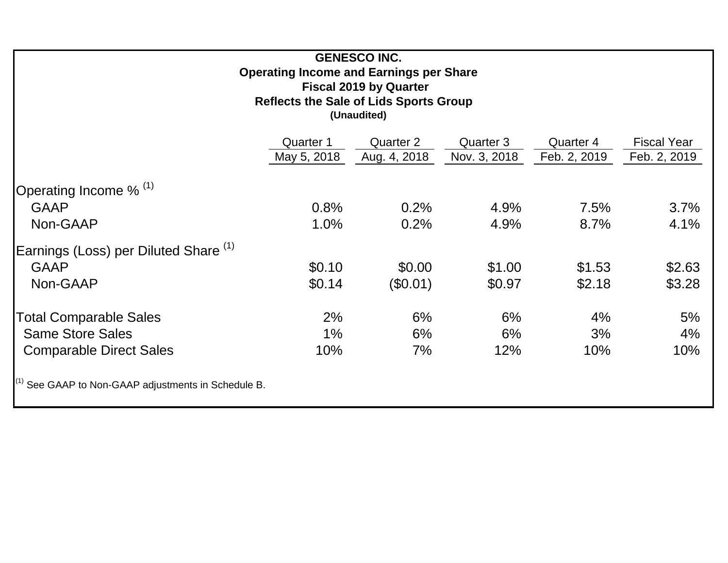| <b>GENESCO INC.</b><br><b>Operating Income and Earnings per Share</b><br><b>Fiscal 2019 by Quarter</b><br><b>Reflects the Sale of Lids Sports Group</b><br>(Unaudited) |             |              |              |              |                    |  |  |  |  |  |  |  |
|------------------------------------------------------------------------------------------------------------------------------------------------------------------------|-------------|--------------|--------------|--------------|--------------------|--|--|--|--|--|--|--|
|                                                                                                                                                                        | Quarter 1   | Quarter 2    | Quarter 3    | Quarter 4    | <b>Fiscal Year</b> |  |  |  |  |  |  |  |
|                                                                                                                                                                        | May 5, 2018 | Aug. 4, 2018 | Nov. 3, 2018 | Feb. 2, 2019 | Feb. 2, 2019       |  |  |  |  |  |  |  |
| Operating Income % (1)                                                                                                                                                 |             |              |              |              |                    |  |  |  |  |  |  |  |
| <b>GAAP</b>                                                                                                                                                            | 0.8%        | 0.2%         | 4.9%         | 7.5%         | 3.7%               |  |  |  |  |  |  |  |
| Non-GAAP                                                                                                                                                               | 1.0%        | 0.2%         | 4.9%         | 8.7%         | 4.1%               |  |  |  |  |  |  |  |
| Earnings (Loss) per Diluted Share <sup>(1)</sup>                                                                                                                       |             |              |              |              |                    |  |  |  |  |  |  |  |
| <b>GAAP</b>                                                                                                                                                            | \$0.10      | \$0.00       | \$1.00       | \$1.53       | \$2.63             |  |  |  |  |  |  |  |
| Non-GAAP                                                                                                                                                               | \$0.14      | $(\$0.01)$   | \$0.97       | \$2.18       | \$3.28             |  |  |  |  |  |  |  |
| Total Comparable Sales                                                                                                                                                 | 2%          | 6%           | 6%           | 4%           | 5%                 |  |  |  |  |  |  |  |
| <b>Same Store Sales</b>                                                                                                                                                | $1\%$       | 6%           | 6%           | 3%           | 4%                 |  |  |  |  |  |  |  |
| <b>Comparable Direct Sales</b>                                                                                                                                         | 10%         | 7%           | 12%          | 10%          | 10%                |  |  |  |  |  |  |  |
| <sup>(1)</sup> See GAAP to Non-GAAP adjustments in Schedule B.                                                                                                         |             |              |              |              |                    |  |  |  |  |  |  |  |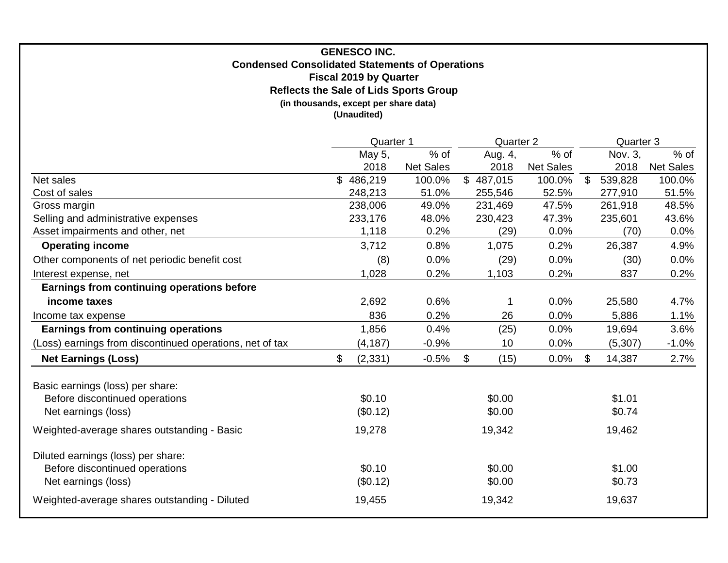# **Condensed Consolidated Statements of Operations (in thousands, except per share data) Reflects the Sale of Lids Sports Group (Unaudited) Fiscal 2019 by Quarter GENESCO INC.**

|                                                                                             | Quarter 1          |                  | <b>Quarter 2</b> |                  |    | Quarter 3        |                  |
|---------------------------------------------------------------------------------------------|--------------------|------------------|------------------|------------------|----|------------------|------------------|
|                                                                                             | May 5,             | $%$ of           | Aug. 4,          | % of             |    | Nov. 3,          | % of             |
|                                                                                             | 2018               | <b>Net Sales</b> | 2018             | <b>Net Sales</b> |    | 2018             | <b>Net Sales</b> |
| Net sales                                                                                   | 486,219<br>\$      | 100.0%           | \$487,015        | 100.0%           | \$ | 539,828          | 100.0%           |
| Cost of sales                                                                               | 248,213            | 51.0%            | 255,546          | 52.5%            |    | 277,910          | 51.5%            |
| Gross margin                                                                                | 238,006            | 49.0%            | 231,469          | 47.5%            |    | 261,918          | 48.5%            |
| Selling and administrative expenses                                                         | 233,176            | 48.0%            | 230,423          | 47.3%            |    | 235,601          | 43.6%            |
| Asset impairments and other, net                                                            | 1,118              | 0.2%             | (29)             | 0.0%             |    | (70)             | 0.0%             |
| <b>Operating income</b>                                                                     | 3,712              | 0.8%             | 1,075            | 0.2%             |    | 26,387           | 4.9%             |
| Other components of net periodic benefit cost                                               | (8)                | 0.0%             | (29)             | 0.0%             |    | (30)             | 0.0%             |
| Interest expense, net                                                                       | 1,028              | 0.2%             | 1,103            | 0.2%             |    | 837              | 0.2%             |
| Earnings from continuing operations before                                                  |                    |                  |                  |                  |    |                  |                  |
| income taxes                                                                                | 2,692              | 0.6%             |                  | 0.0%             |    | 25,580           | 4.7%             |
| Income tax expense                                                                          | 836                | 0.2%             | 26               | 0.0%             |    | 5,886            | 1.1%             |
| <b>Earnings from continuing operations</b>                                                  | 1,856              | 0.4%             | (25)             | 0.0%             |    | 19,694           | 3.6%             |
| (Loss) earnings from discontinued operations, net of tax                                    | (4, 187)           | $-0.9%$          | 10               | 0.0%             |    | (5, 307)         | $-1.0%$          |
| <b>Net Earnings (Loss)</b>                                                                  | (2, 331)<br>\$     | $-0.5%$          | (15)<br>\$       | 0.0%             | \$ | 14,387           | 2.7%             |
| Basic earnings (loss) per share:<br>Before discontinued operations<br>Net earnings (loss)   | \$0.10<br>(\$0.12) |                  | \$0.00<br>\$0.00 |                  |    | \$1.01<br>\$0.74 |                  |
| Weighted-average shares outstanding - Basic                                                 | 19,278             |                  | 19,342           |                  |    | 19,462           |                  |
| Diluted earnings (loss) per share:<br>Before discontinued operations<br>Net earnings (loss) | \$0.10<br>(\$0.12) |                  | \$0.00<br>\$0.00 |                  |    | \$1.00<br>\$0.73 |                  |
| Weighted-average shares outstanding - Diluted                                               | 19,455             |                  | 19,342           |                  |    | 19,637           |                  |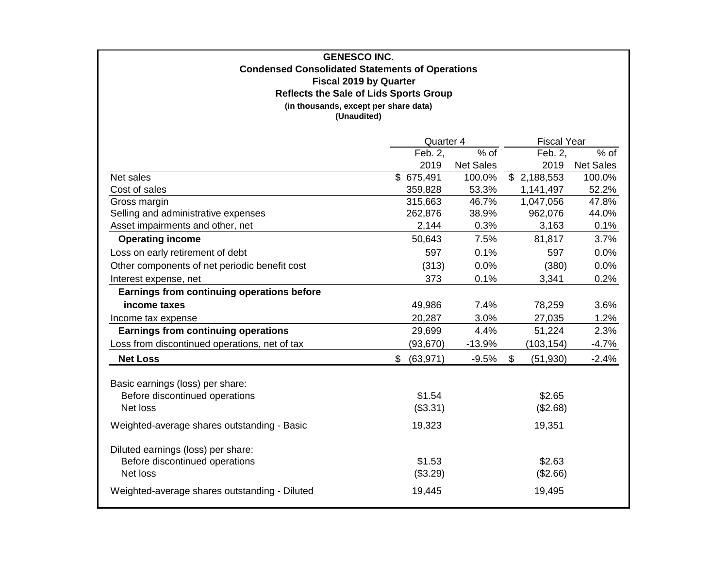## **Reflects the Sale of Lids Sports Group Fiscal 2019 by Quarter GENESCO INC. Condensed Consolidated Statements of Operations (in thousands, except per share data) (Unaudited)**

|                                               | Quarter 4       |                  | <b>Fiscal Year</b> |                  |
|-----------------------------------------------|-----------------|------------------|--------------------|------------------|
|                                               | Feb. 2,         | % of             | Feb. 2,            | $%$ of           |
|                                               | 2019            | <b>Net Sales</b> | 2019               | <b>Net Sales</b> |
| Net sales                                     | \$675,491       | 100.0%           | \$2,188,553        | 100.0%           |
| Cost of sales                                 | 359,828         | 53.3%            | 1,141,497          | 52.2%            |
| Gross margin                                  | 315,663         | 46.7%            | 1,047,056          | 47.8%            |
| Selling and administrative expenses           | 262,876         | 38.9%            | 962,076            | 44.0%            |
| Asset impairments and other, net              | 2,144           | 0.3%             | 3,163              | 0.1%             |
| <b>Operating income</b>                       | 50,643          | 7.5%             | 81,817             | 3.7%             |
| Loss on early retirement of debt              | 597             | 0.1%             | 597                | 0.0%             |
| Other components of net periodic benefit cost | (313)           | 0.0%             | (380)              | 0.0%             |
| Interest expense, net                         | 373             | 0.1%             | 3,341              | 0.2%             |
| Earnings from continuing operations before    |                 |                  |                    |                  |
| income taxes                                  | 49,986          | 7.4%             | 78,259             | 3.6%             |
| Income tax expense                            | 20,287          | 3.0%             | 27,035             | 1.2%             |
| <b>Earnings from continuing operations</b>    | 29,699          | 4.4%             | 51,224             | 2.3%             |
| Loss from discontinued operations, net of tax | (93, 670)       | $-13.9%$         | (103, 154)         | $-4.7%$          |
| <b>Net Loss</b>                               | (63, 971)<br>\$ | $-9.5%$          | \$<br>(51, 930)    | $-2.4%$          |
|                                               |                 |                  |                    |                  |
| Basic earnings (loss) per share:              |                 |                  |                    |                  |
| Before discontinued operations                | \$1.54          |                  | \$2.65             |                  |
| Net loss                                      | (\$3.31)        |                  | (\$2.68)           |                  |
| Weighted-average shares outstanding - Basic   | 19,323          |                  | 19,351             |                  |
| Diluted earnings (loss) per share:            |                 |                  |                    |                  |
| Before discontinued operations                | \$1.53          |                  | \$2.63             |                  |
| Net loss                                      | (\$3.29)        |                  | (\$2.66)           |                  |
| Weighted-average shares outstanding - Diluted | 19,445          |                  | 19,495             |                  |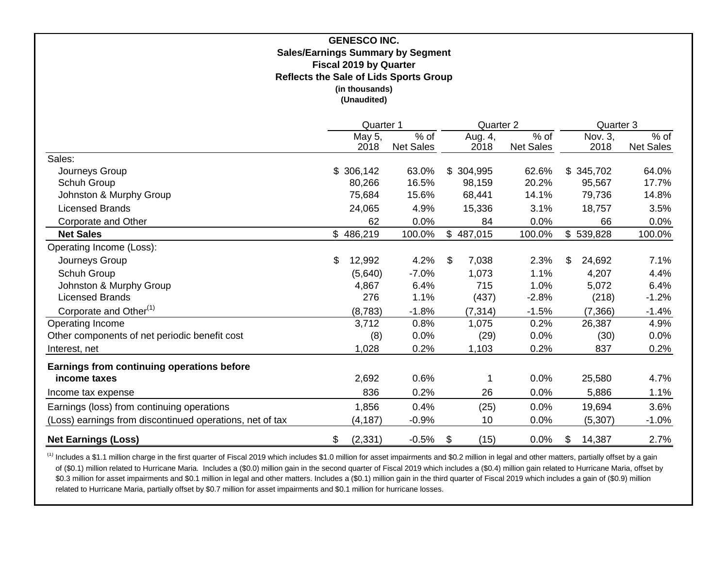## **GENESCO INC. Sales/Earnings Summary by Segment Fiscal 2019 by Quarter (in thousands) (Unaudited) Reflects the Sale of Lids Sports Group**

|                                                          | Quarter 1      |                          | Quarter 2 |                 |                          |    | Quarter 3       |                     |  |
|----------------------------------------------------------|----------------|--------------------------|-----------|-----------------|--------------------------|----|-----------------|---------------------|--|
|                                                          | May 5,<br>2018 | % of<br><b>Net Sales</b> |           | Aug. 4,<br>2018 | % of<br><b>Net Sales</b> |    | Nov. 3,<br>2018 | $%$ of<br>Net Sales |  |
| Sales:                                                   |                |                          |           |                 |                          |    |                 |                     |  |
| Journeys Group                                           | \$306,142      | 63.0%                    |           | \$304,995       | 62.6%                    |    | \$345,702       | 64.0%               |  |
| Schuh Group                                              | 80,266         | 16.5%                    |           | 98,159          | 20.2%                    |    | 95,567          | 17.7%               |  |
| Johnston & Murphy Group                                  | 75,684         | 15.6%                    |           | 68,441          | 14.1%                    |    | 79,736          | 14.8%               |  |
| <b>Licensed Brands</b>                                   | 24,065         | 4.9%                     |           | 15,336          | 3.1%                     |    | 18,757          | 3.5%                |  |
| Corporate and Other                                      | 62             | 0.0%                     |           | 84              | 0.0%                     |    | 66              | 0.0%                |  |
| <b>Net Sales</b>                                         | \$486,219      | 100.0%                   |           | \$487,015       | 100.0%                   |    | \$539,828       | 100.0%              |  |
| Operating Income (Loss):                                 |                |                          |           |                 |                          |    |                 |                     |  |
| Journeys Group                                           | \$<br>12,992   | 4.2%                     | \$        | 7,038           | 2.3%                     | \$ | 24,692          | 7.1%                |  |
| Schuh Group                                              | (5,640)        | $-7.0%$                  |           | 1,073           | 1.1%                     |    | 4,207           | 4.4%                |  |
| Johnston & Murphy Group                                  | 4,867          | 6.4%                     |           | 715             | 1.0%                     |    | 5,072           | 6.4%                |  |
| <b>Licensed Brands</b>                                   | 276            | 1.1%                     |           | (437)           | $-2.8%$                  |    | (218)           | $-1.2%$             |  |
| Corporate and Other <sup>(1)</sup>                       | (8,783)        | $-1.8%$                  |           | (7, 314)        | $-1.5%$                  |    | (7,366)         | $-1.4%$             |  |
| Operating Income                                         | 3,712          | 0.8%                     |           | 1,075           | 0.2%                     |    | 26,387          | 4.9%                |  |
| Other components of net periodic benefit cost            | (8)            | 0.0%                     |           | (29)            | 0.0%                     |    | (30)            | $0.0\%$             |  |
| Interest, net                                            | 1,028          | 0.2%                     |           | 1,103           | 0.2%                     |    | 837             | 0.2%                |  |
| Earnings from continuing operations before               |                |                          |           |                 |                          |    |                 |                     |  |
| income taxes                                             | 2,692          | 0.6%                     |           |                 | 0.0%                     |    | 25,580          | 4.7%                |  |
| Income tax expense                                       | 836            | 0.2%                     |           | 26              | 0.0%                     |    | 5,886           | 1.1%                |  |
| Earnings (loss) from continuing operations               | 1,856          | 0.4%                     |           | (25)            | 0.0%                     |    | 19,694          | 3.6%                |  |
| (Loss) earnings from discontinued operations, net of tax | (4, 187)       | $-0.9%$                  |           | 10              | 0.0%                     |    | (5, 307)        | $-1.0%$             |  |
| <b>Net Earnings (Loss)</b>                               | \$<br>(2, 331) | $-0.5%$                  | \$        | (15)            | 0.0%                     | \$ | 14,387          | 2.7%                |  |

<sup>(1)</sup> Includes a \$1.1 million charge in the first quarter of Fiscal 2019 which includes \$1.0 million for asset impairments and \$0.2 million in legal and other matters, partially offset by a gain of (\$0.1) million related to Hurricane Maria. Includes a (\$0.0) million gain in the second quarter of Fiscal 2019 which includes a (\$0.4) million gain related to Hurricane Maria, offset by \$0.3 million for asset impairments and \$0.1 million in legal and other matters. Includes a (\$0.1) million gain in the third quarter of Fiscal 2019 which includes a gain of (\$0.9) million related to Hurricane Maria, partially offset by \$0.7 million for asset impairments and \$0.1 million for hurricane losses.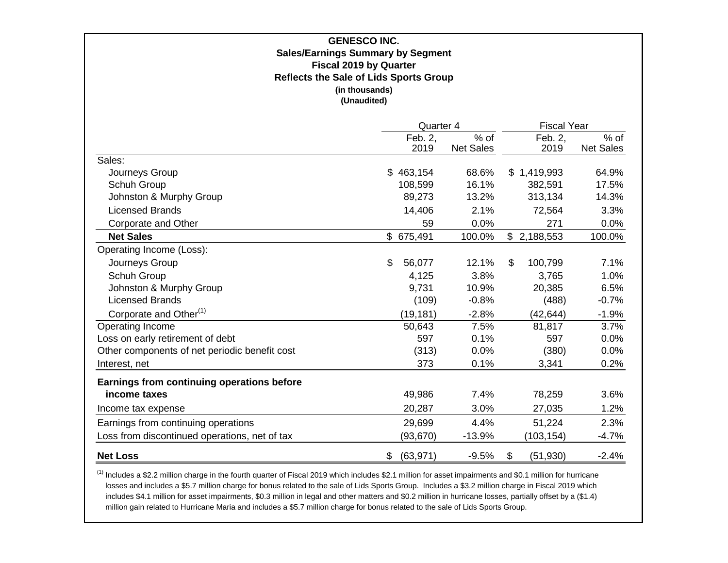| <b>GENESCO INC.</b><br><b>Sales/Earnings Summary by Segment</b><br><b>Fiscal 2019 by Quarter</b><br><b>Reflects the Sale of Lids Sports Group</b><br>(in thousands)<br>(Unaudited) |                 |                          |                                        |                          |  |  |  |  |  |  |  |
|------------------------------------------------------------------------------------------------------------------------------------------------------------------------------------|-----------------|--------------------------|----------------------------------------|--------------------------|--|--|--|--|--|--|--|
|                                                                                                                                                                                    | Quarter 4       |                          | <b>Fiscal Year</b>                     |                          |  |  |  |  |  |  |  |
|                                                                                                                                                                                    | Feb. 2,<br>2019 | % of<br><b>Net Sales</b> | Feb. 2,<br>2019                        | % of<br><b>Net Sales</b> |  |  |  |  |  |  |  |
| Sales:                                                                                                                                                                             |                 |                          |                                        |                          |  |  |  |  |  |  |  |
| Journeys Group                                                                                                                                                                     | \$463,154       | 68.6%                    | \$1,419,993                            | 64.9%                    |  |  |  |  |  |  |  |
| Schuh Group                                                                                                                                                                        | 108,599         | 16.1%                    | 382,591                                | 17.5%                    |  |  |  |  |  |  |  |
| Johnston & Murphy Group                                                                                                                                                            | 89,273          | 13.2%                    | 313,134                                | 14.3%                    |  |  |  |  |  |  |  |
| <b>Licensed Brands</b>                                                                                                                                                             | 14,406          | 2.1%                     | 72,564                                 | 3.3%                     |  |  |  |  |  |  |  |
| Corporate and Other                                                                                                                                                                | 59              | 0.0%                     | 271                                    | 0.0%                     |  |  |  |  |  |  |  |
| <b>Net Sales</b>                                                                                                                                                                   | \$ 675,491      | 100.0%                   | \$2,188,553                            | 100.0%                   |  |  |  |  |  |  |  |
| Operating Income (Loss):                                                                                                                                                           |                 |                          |                                        |                          |  |  |  |  |  |  |  |
| Journeys Group                                                                                                                                                                     | \$<br>56,077    | 12.1%                    | \$<br>100,799                          | 7.1%                     |  |  |  |  |  |  |  |
| Schuh Group                                                                                                                                                                        | 4,125           | 3.8%                     | 3,765                                  | 1.0%                     |  |  |  |  |  |  |  |
| Johnston & Murphy Group                                                                                                                                                            | 9,731           | 10.9%                    | 20,385                                 | 6.5%                     |  |  |  |  |  |  |  |
| <b>Licensed Brands</b>                                                                                                                                                             | (109)           | $-0.8%$                  | (488)                                  | $-0.7%$                  |  |  |  |  |  |  |  |
| Corporate and Other <sup>(1)</sup>                                                                                                                                                 | (19, 181)       | $-2.8%$                  | (42, 644)                              | $-1.9%$                  |  |  |  |  |  |  |  |
| Operating Income                                                                                                                                                                   | 50,643          | 7.5%                     | 81,817                                 | 3.7%                     |  |  |  |  |  |  |  |
| Loss on early retirement of debt                                                                                                                                                   | 597             | 0.1%                     | 597                                    | 0.0%                     |  |  |  |  |  |  |  |
| Other components of net periodic benefit cost                                                                                                                                      | (313)           | 0.0%                     | (380)                                  | 0.0%                     |  |  |  |  |  |  |  |
| Interest, net                                                                                                                                                                      | 373             | 0.1%                     | 3,341                                  | 0.2%                     |  |  |  |  |  |  |  |
| Earnings from continuing operations before                                                                                                                                         |                 |                          |                                        |                          |  |  |  |  |  |  |  |
| income taxes                                                                                                                                                                       | 49,986          | 7.4%                     | 78,259                                 | 3.6%                     |  |  |  |  |  |  |  |
| Income tax expense                                                                                                                                                                 | 20,287          | 3.0%                     | 27,035                                 | 1.2%                     |  |  |  |  |  |  |  |
| Earnings from continuing operations                                                                                                                                                | 29,699          | 4.4%                     | 51,224                                 | 2.3%                     |  |  |  |  |  |  |  |
| Loss from discontinued operations, net of tax                                                                                                                                      | (93, 670)       | $-13.9%$                 | (103, 154)                             | $-4.7%$                  |  |  |  |  |  |  |  |
| <b>Net Loss</b>                                                                                                                                                                    | (63, 971)<br>\$ | $-9.5%$                  | $\boldsymbol{\mathsf{S}}$<br>(51, 930) | $-2.4%$                  |  |  |  |  |  |  |  |

 $^{(1)}$  Includes a \$2.2 million charge in the fourth quarter of Fiscal 2019 which includes \$2.1 million for asset impairments and \$0.1 million for hurricane losses and includes a \$5.7 million charge for bonus related to the sale of Lids Sports Group. Includes a \$3.2 million charge in Fiscal 2019 which includes \$4.1 million for asset impairments, \$0.3 million in legal and other matters and \$0.2 million in hurricane losses, partially offset by a (\$1.4) million gain related to Hurricane Maria and includes a \$5.7 million charge for bonus related to the sale of Lids Sports Group.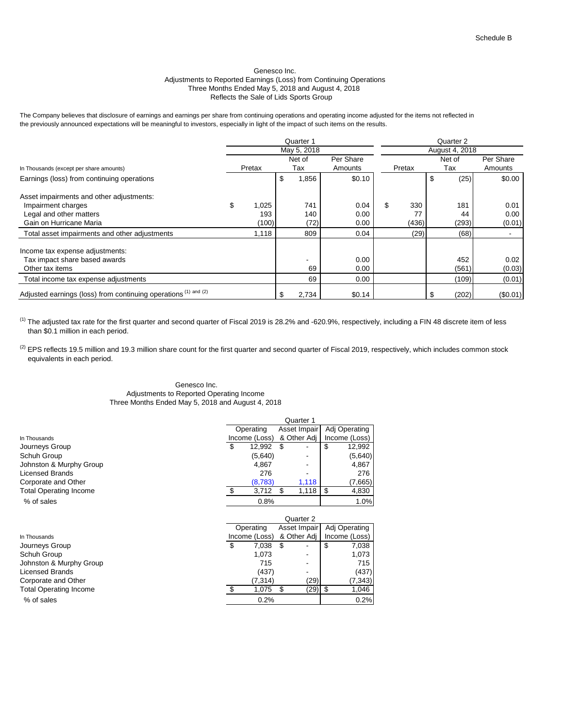### Genesco Inc. Adjustments to Reported Earnings (Loss) from Continuing Operations Three Months Ended May 5, 2018 and August 4, 2018 Reflects the Sale of Lids Sports Group

The Company believes that disclosure of earnings and earnings per share from continuing operations and operating income adjusted for the items not reflected in the previously announced expectations will be meaningful to investors, especially in light of the impact of such items on the results.

|                                                                 |    |        |    | Quarter 1   |           | Quarter 2 |                |           |  |  |  |
|-----------------------------------------------------------------|----|--------|----|-------------|-----------|-----------|----------------|-----------|--|--|--|
|                                                                 |    |        |    | May 5, 2018 |           |           | August 4, 2018 |           |  |  |  |
|                                                                 |    |        |    | Net of      | Per Share |           | Net of         | Per Share |  |  |  |
| In Thousands (except per share amounts)                         |    | Pretax |    | Tax         | Amounts   | Pretax    | Tax            | Amounts   |  |  |  |
| Earnings (loss) from continuing operations                      |    |        | \$ | 1,856       | \$0.10    |           | (25)           | \$0.00    |  |  |  |
| Asset impairments and other adjustments:                        |    |        |    |             |           |           |                |           |  |  |  |
| Impairment charges                                              | \$ | 1,025  |    | 741         | 0.04      | \$<br>330 | 181            | 0.01      |  |  |  |
| Legal and other matters                                         |    | 193    |    | 140         | 0.00      | 77        | 44             | 0.00      |  |  |  |
| Gain on Hurricane Maria                                         |    | (100)  |    | (72)        | 0.00      | (436)     | (293)          | (0.01)    |  |  |  |
| Total asset impairments and other adjustments                   |    | 1,118  |    | 809         | 0.04      | (29)      | (68)           |           |  |  |  |
| Income tax expense adjustments:                                 |    |        |    |             |           |           |                |           |  |  |  |
| Tax impact share based awards                                   |    |        |    |             | 0.00      |           | 452            | 0.02      |  |  |  |
| Other tax items                                                 |    |        |    | 69          | 0.00      |           | (561)          | (0.03)    |  |  |  |
| Total income tax expense adjustments                            |    |        |    | 69          | 0.00      |           | (109)          | (0.01)    |  |  |  |
| Adjusted earnings (loss) from continuing operations (1) and (2) |    |        |    | 2,734       | \$0.14    |           | (202)          | (\$0.01)  |  |  |  |

 $^{(1)}$  The adjusted tax rate for the first quarter and second quarter of Fiscal 2019 is 28.2% and -620.9%, respectively, including a FIN 48 discrete item of less than \$0.1 million in each period.

 $^{(2)}$  EPS reflects 19.5 million and 19.3 million share count for the first quarter and second quarter of Fiscal 2019, respectively, which includes common stock equivalents in each period.

### Genesco Inc. Adjustments to Reported Operating Income Three Months Ended May 5, 2018 and August 4, 2018

|                               | Quarter 1 |               |              |              |               |               |  |  |
|-------------------------------|-----------|---------------|--------------|--------------|---------------|---------------|--|--|
|                               |           | Operating     | Asset Impair |              |               | Adj Operating |  |  |
| In Thousands                  |           | Income (Loss) |              | & Other Adj  |               | Income (Loss) |  |  |
| Journeys Group                | \$        | 12,992        | \$           |              | \$            | 12,992        |  |  |
| Schuh Group                   |           | (5,640)       |              |              |               | (5,640)       |  |  |
| Johnston & Murphy Group       |           | 4,867         |              |              |               | 4,867         |  |  |
| <b>Licensed Brands</b>        |           | 276           |              |              |               | 276           |  |  |
| Corporate and Other           |           | (8,783)       |              | 1,118        |               | (7,665)       |  |  |
| Total Operating Income        | S.        | 3,712         | \$           | 1,118        | \$            | 4,830         |  |  |
| % of sales                    |           | 0.8%          |              |              |               | 1.0%          |  |  |
|                               |           |               |              |              |               |               |  |  |
|                               |           | Operating     |              | Asset Impair | Adj Operating |               |  |  |
| In Thousands                  |           | Income (Loss) |              | & Other Adj  |               | Income (Loss) |  |  |
| Journeys Group                | \$        | 7,038         | \$           |              | \$            | 7,038         |  |  |
| Schuh Group                   |           | 1.073         |              |              |               | 1,073         |  |  |
| Johnston & Murphy Group       |           | 715           |              | ٠            |               | 715           |  |  |
| Licensed Brands               |           | (437)         |              |              |               | (437)         |  |  |
| Corporate and Other           |           | (7, 314)      |              | (29)         |               | (7, 343)      |  |  |
| <b>Total Operating Income</b> | \$        | 1,075         | \$           | (29)         | \$            | 1,046         |  |  |
| % of sales                    |           | 0.2%          |              |              |               | 0.2%          |  |  |